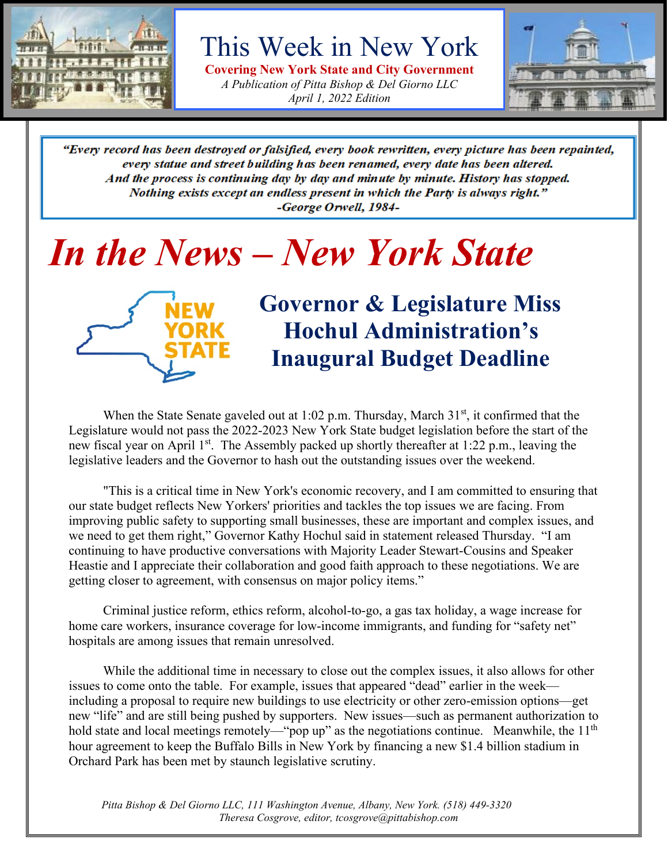

This Week in New York

**Covering New York State and City Government** *A Publication of Pitta Bishop & Del Giorno LLC April 1, 2022 Edition*



"Every record has been destroyed or falsified, every book rewritten, every picture has been repainted, every statue and street building has been renamed, every date has been altered. And the process is continuing day by day and minute by minute. History has stopped. Nothing exists except an endless present in which the Party is always right." -George Orwell, 1984-

# *In the News – New York State*



# **Governor & Legislature Miss Hochul Administration's Inaugural Budget Deadline**

When the State Senate gaveled out at 1:02 p.m. Thursday, March  $31<sup>st</sup>$ , it confirmed that the Legislature would not pass the 2022-2023 New York State budget legislation before the start of the new fiscal year on April 1<sup>st</sup>. The Assembly packed up shortly thereafter at 1:22 p.m., leaving the legislative leaders and the Governor to hash out the outstanding issues over the weekend.

"This is a critical time in New York's economic recovery, and I am committed to ensuring that our state budget reflects New Yorkers' priorities and tackles the top issues we are facing. From improving public safety to supporting small businesses, these are important and complex issues, and we need to get them right," Governor Kathy Hochul said in statement released Thursday. "I am continuing to have productive conversations with Majority Leader Stewart-Cousins and Speaker Heastie and I appreciate their collaboration and good faith approach to these negotiations. We are getting closer to agreement, with consensus on major policy items."

Criminal justice reform, ethics reform, alcohol-to-go, a gas tax holiday, a wage increase for home care workers, insurance coverage for low-income immigrants, and funding for "safety net" hospitals are among issues that remain unresolved.

While the additional time in necessary to close out the complex issues, it also allows for other issues to come onto the table. For example, issues that appeared "dead" earlier in the week including a proposal to require new buildings to use electricity or other zero-emission options—get new "life" and are still being pushed by supporters. New issues—such as permanent authorization to hold state and local meetings remotely—"pop up" as the negotiations continue. Meanwhile, the  $11<sup>th</sup>$ hour agreement to keep the Buffalo Bills in New York by financing a new \$1.4 billion stadium in Orchard Park has been met by staunch legislative scrutiny.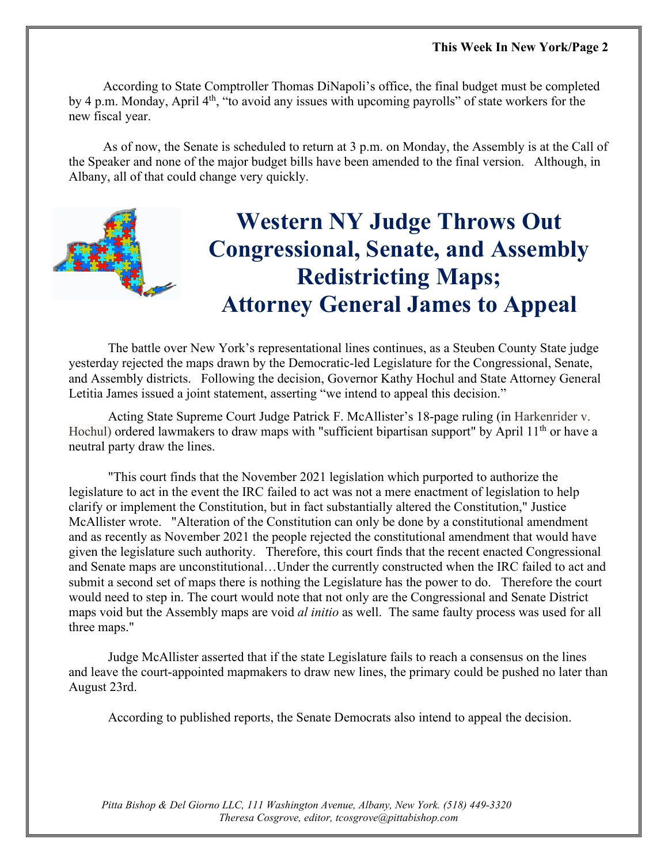According to State Comptroller Thomas DiNapoli's office, the final budget must be completed by 4 p.m. Monday, April 4<sup>th</sup>, "to avoid any issues with upcoming payrolls" of state workers for the new fiscal year.

As of now, the Senate is scheduled to return at 3 p.m. on Monday, the Assembly is at the Call of the Speaker and none of the major budget bills have been amended to the final version. Although, in Albany, all of that could change very quickly.



# **Western NY Judge Throws Out Congressional, Senate, and Assembly Redistricting Maps; Attorney General James to Appeal**

 The battle over New York's representational lines continues, as a Steuben County State judge yesterday rejected the maps drawn by the Democratic-led Legislature for the Congressional, Senate, and Assembly districts. Following the decision, Governor Kathy Hochul and State Attorney General Letitia James issued a joint statement, asserting "we intend to appeal this decision."

Acting State Supreme Court Judge Patrick F. McAllister's 18-page ruling (in Harkenrider v. Hochul) ordered lawmakers to draw maps with "sufficient bipartisan support" by April  $11<sup>th</sup>$  or have a neutral party draw the lines.

"This court finds that the November 2021 legislation which purported to authorize the legislature to act in the event the IRC failed to act was not a mere enactment of legislation to help clarify or implement the Constitution, but in fact substantially altered the Constitution," Justice McAllister wrote. "Alteration of the Constitution can only be done by a constitutional amendment and as recently as November 2021 the people rejected the constitutional amendment that would have given the legislature such authority. Therefore, this court finds that the recent enacted Congressional and Senate maps are unconstitutional…Under the currently constructed when the IRC failed to act and submit a second set of maps there is nothing the Legislature has the power to do. Therefore the court would need to step in. The court would note that not only are the Congressional and Senate District maps void but the Assembly maps are void *al initio* as well. The same faulty process was used for all three maps."

Judge McAllister asserted that if the state Legislature fails to reach a consensus on the lines and leave the court-appointed mapmakers to draw new lines, the primary could be pushed no later than August 23rd.

According to published reports, the Senate Democrats also intend to appeal the decision.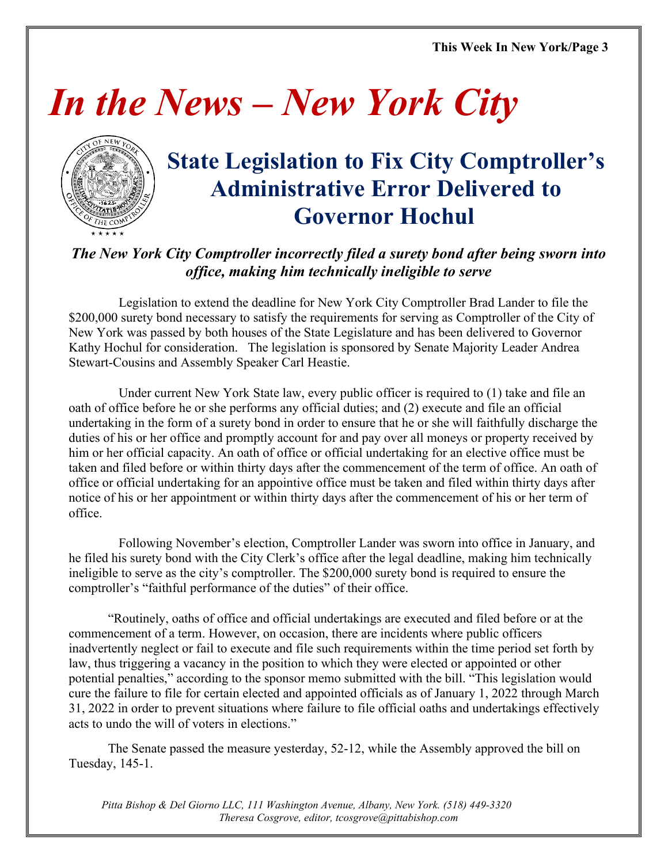# *In the News – New York City*



# **State Legislation to Fix City Comptroller's Administrative Error Delivered to Governor Hochul**

### *The New York City Comptroller incorrectly filed a surety bond after being sworn into office, making him technically ineligible to serve*

Legislation to extend the deadline for New York City Comptroller Brad Lander to file the \$200,000 surety bond necessary to satisfy the requirements for serving as Comptroller of the City of New York was passed by both houses of the State Legislature and has been delivered to Governor Kathy Hochul for consideration. The legislation is sponsored by Senate Majority Leader Andrea Stewart-Cousins and Assembly Speaker Carl Heastie.

Under current New York State law, every public officer is required to (1) take and file an oath of office before he or she performs any official duties; and (2) execute and file an official undertaking in the form of a surety bond in order to ensure that he or she will faithfully discharge the duties of his or her office and promptly account for and pay over all moneys or property received by him or her official capacity. An oath of office or official undertaking for an elective office must be taken and filed before or within thirty days after the commencement of the term of office. An oath of office or official undertaking for an appointive office must be taken and filed within thirty days after notice of his or her appointment or within thirty days after the commencement of his or her term of office.

Following November's election, Comptroller Lander was sworn into office in January, and he filed his surety bond with the City Clerk's office after the legal deadline, making him technically ineligible to serve as the city's comptroller. The \$200,000 surety bond is required to ensure the comptroller's "faithful performance of the duties" of their office.

"Routinely, oaths of office and official undertakings are executed and filed before or at the commencement of a term. However, on occasion, there are incidents where public officers inadvertently neglect or fail to execute and file such requirements within the time period set forth by law, thus triggering a vacancy in the position to which they were elected or appointed or other potential penalties," according to the sponsor memo submitted with the bill. "This legislation would cure the failure to file for certain elected and appointed officials as of January 1, 2022 through March 31, 2022 in order to prevent situations where failure to file official oaths and undertakings effectively acts to undo the will of voters in elections."

The Senate passed the measure yesterday, 52-12, while the Assembly approved the bill on Tuesday, 145-1.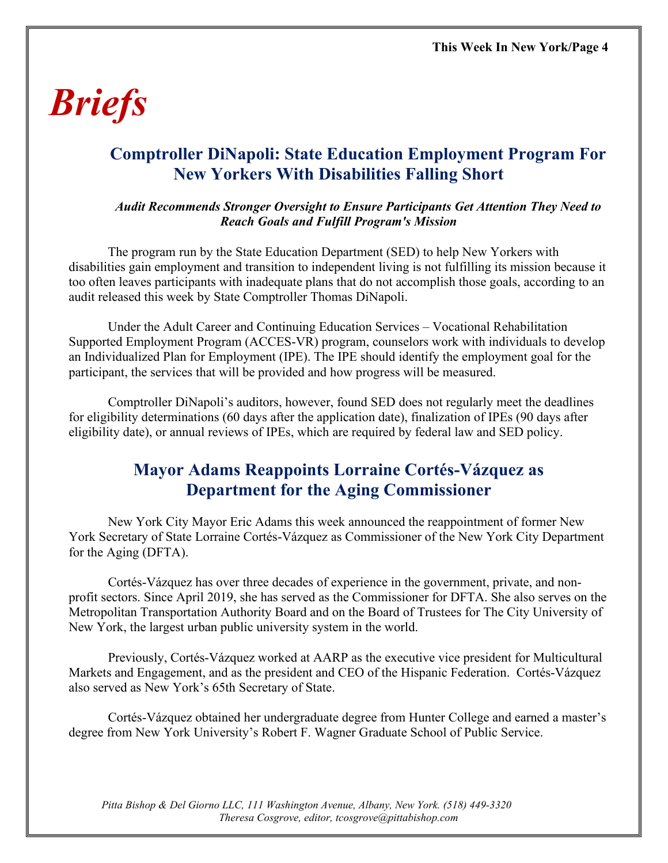# *Briefs*

## **Comptroller DiNapoli: State Education Employment Program For New Yorkers With Disabilities Falling Short**

#### *Audit Recommends Stronger Oversight to Ensure Participants Get Attention They Need to Reach Goals and Fulfill Program's Mission*

The program run by the State Education Department (SED) to help New Yorkers with disabilities gain employment and transition to independent living is not fulfilling its mission because it too often leaves participants with inadequate plans that do not accomplish those goals, according to an audit released this week by State Comptroller Thomas DiNapoli.

Under the Adult Career and Continuing Education Services – Vocational Rehabilitation Supported Employment Program (ACCES-VR) program, counselors work with individuals to develop an Individualized Plan for Employment (IPE). The IPE should identify the employment goal for the participant, the services that will be provided and how progress will be measured.

Comptroller DiNapoli's auditors, however, found SED does not regularly meet the deadlines for eligibility determinations (60 days after the application date), finalization of IPEs (90 days after eligibility date), or annual reviews of IPEs, which are required by federal law and SED policy.

### **Mayor Adams Reappoints Lorraine Cortés-Vázquez as Department for the Aging Commissioner**

New York City Mayor Eric Adams this week announced the reappointment of former New York Secretary of State Lorraine Cortés-Vázquez as Commissioner of the New York City Department for the Aging (DFTA).

Cortés-Vázquez has over three decades of experience in the government, private, and nonprofit sectors. Since April 2019, she has served as the Commissioner for DFTA. She also serves on the Metropolitan Transportation Authority Board and on the Board of Trustees for The City University of New York, the largest urban public university system in the world.

Previously, Cortés-Vázquez worked at AARP as the executive vice president for Multicultural Markets and Engagement, and as the president and CEO of the Hispanic Federation. Cortés-Vázquez also served as New York's 65th Secretary of State.

Cortés-Vázquez obtained her undergraduate degree from Hunter College and earned a master's degree from New York University's Robert F. Wagner Graduate School of Public Service.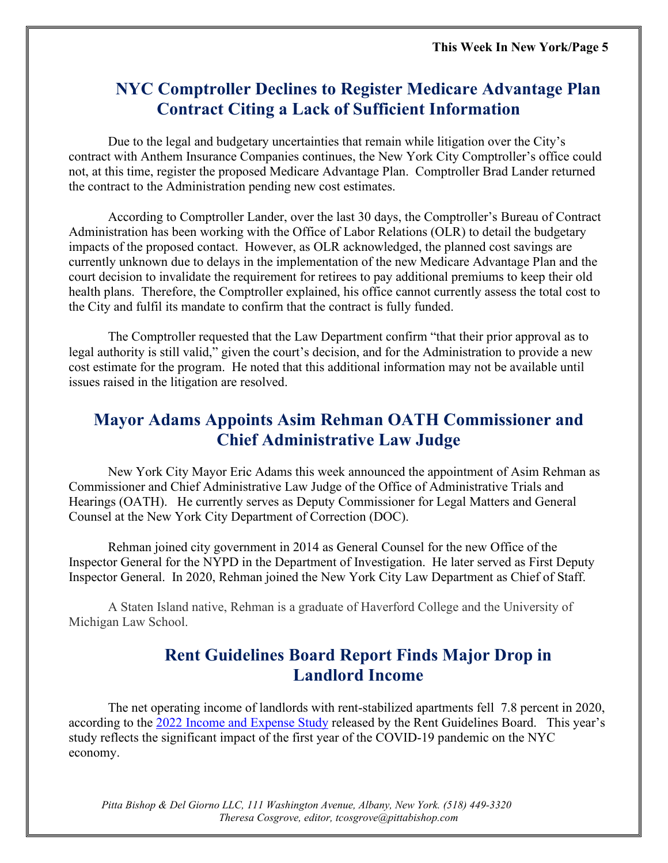### **NYC Comptroller Declines to Register Medicare Advantage Plan Contract Citing a Lack of Sufficient Information**

Due to the legal and budgetary uncertainties that remain while litigation over the City's contract with Anthem Insurance Companies continues, the New York City Comptroller's office could not, at this time, register the proposed Medicare Advantage Plan. Comptroller Brad Lander returned the contract to the Administration pending new cost estimates.

According to Comptroller Lander, over the last 30 days, the Comptroller's Bureau of Contract Administration has been working with the Office of Labor Relations (OLR) to detail the budgetary impacts of the proposed contact. However, as OLR acknowledged, the planned cost savings are currently unknown due to delays in the implementation of the new Medicare Advantage Plan and the court decision to invalidate the requirement for retirees to pay additional premiums to keep their old health plans. Therefore, the Comptroller explained, his office cannot currently assess the total cost to the City and fulfil its mandate to confirm that the contract is fully funded.

The Comptroller requested that the Law Department confirm "that their prior approval as to legal authority is still valid," given the court's decision, and for the Administration to provide a new cost estimate for the program. He noted that this additional information may not be available until issues raised in the litigation are resolved.

### **Mayor Adams Appoints Asim Rehman OATH Commissioner and Chief Administrative Law Judge**

New York City Mayor Eric Adams this week announced the appointment of Asim Rehman as Commissioner and Chief Administrative Law Judge of the Office of Administrative Trials and Hearings (OATH). He currently serves as Deputy Commissioner for Legal Matters and General Counsel at the New York City Department of Correction (DOC).

Rehman joined city government in 2014 as General Counsel for the new Office of the Inspector General for the NYPD in the Department of Investigation. He later served as First Deputy Inspector General. In 2020, Rehman joined the New York City Law Department as Chief of Staff.

A Staten Island native, Rehman is a graduate of Haverford College and the University of Michigan Law School.

## **Rent Guidelines Board Report Finds Major Drop in Landlord Income**

The net operating income of landlords with rent-stabilized apartments fell 7.8 percent in 2020, according to the [2022 Income and Expense Study](https://rentguidelinesboard.cityofnewyork.us/wp-content/uploads/2022/03/2022-IE-Study.pdf) released by the Rent Guidelines Board. This year's study reflects the significant impact of the first year of the COVID-19 pandemic on the NYC economy.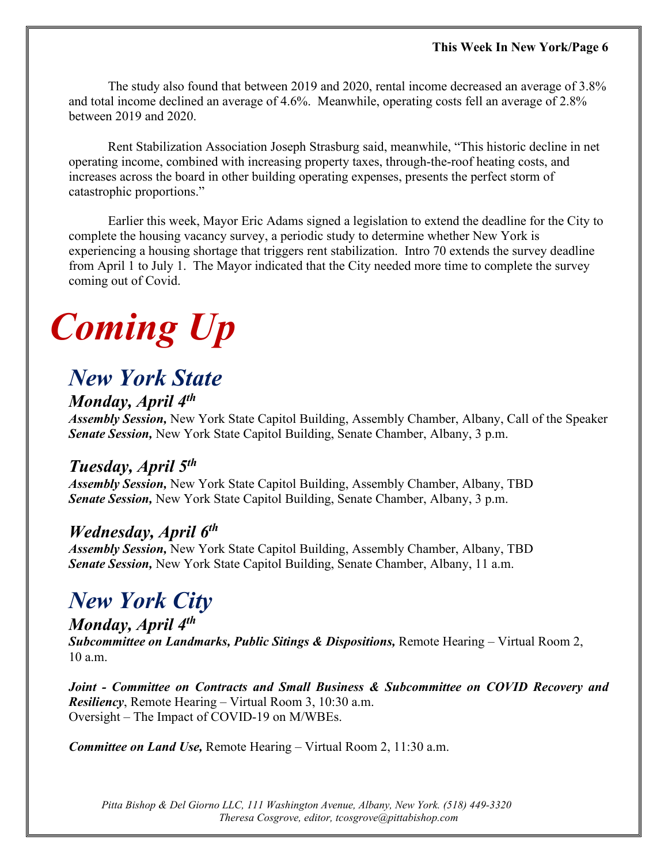The study also found that between 2019 and 2020, rental income decreased an average of 3.8% and total income declined an average of 4.6%. Meanwhile, operating costs fell an average of 2.8% between 2019 and 2020.

Rent Stabilization Association Joseph Strasburg said, meanwhile, "This historic decline in net operating income, combined with increasing property taxes, through-the-roof heating costs, and increases across the board in other building operating expenses, presents the perfect storm of catastrophic proportions."

Earlier this week, Mayor Eric Adams signed a legislation to extend the deadline for the City to complete the housing vacancy survey, a periodic study to determine whether New York is experiencing a housing shortage that triggers rent stabilization. Intro 70 extends the survey deadline from April 1 to July 1. The Mayor indicated that the City needed more time to complete the survey coming out of Covid.

# *Coming Up*

## *New York State*

### *Monday, April 4th*

*Assembly Session,* New York State Capitol Building, Assembly Chamber, Albany, Call of the Speaker *Senate Session,* New York State Capitol Building, Senate Chamber, Albany, 3 p.m.

### *Tuesday, April 5th*

*Assembly Session,* New York State Capitol Building, Assembly Chamber, Albany, TBD *Senate Session,* New York State Capitol Building, Senate Chamber, Albany, 3 p.m.

### *Wednesday, April 6th*

*Assembly Session,* New York State Capitol Building, Assembly Chamber, Albany, TBD *Senate Session,* New York State Capitol Building, Senate Chamber, Albany, 11 a.m.

# *New York City*

#### *Monday, April 4th*

*Subcommittee on Landmarks, Public Sitings & Dispositions,* Remote Hearing – Virtual Room 2, 10 a.m.

*Joint - Committee on Contracts and Small Business & Subcommittee on COVID Recovery and Resiliency*, Remote Hearing – Virtual Room 3, 10:30 a.m. Oversight – The Impact of COVID-19 on M/WBEs.

*Committee on Land Use,* Remote Hearing – Virtual Room 2, 11:30 a.m.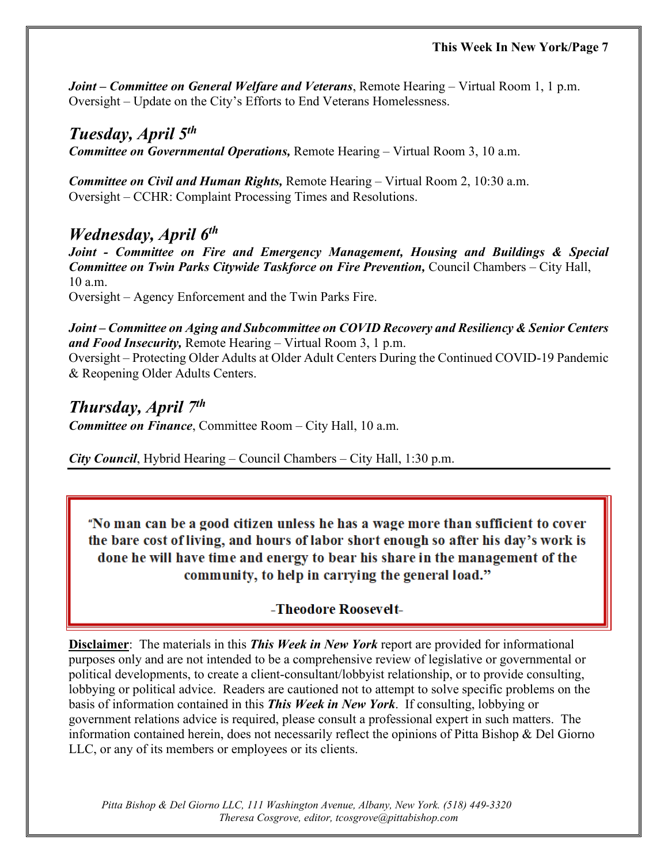*Joint – Committee on General Welfare and Veterans*, Remote Hearing – Virtual Room 1, 1 p.m. Oversight – Update on the City's Efforts to End Veterans Homelessness.

#### *Tuesday, April 5th*

*Committee on Governmental Operations,* Remote Hearing – Virtual Room 3, 10 a.m.

*Committee on Civil and Human Rights,* Remote Hearing – Virtual Room 2, 10:30 a.m. Oversight – CCHR: Complaint Processing Times and Resolutions.

### *Wednesday, April 6th*

*Joint - Committee on Fire and Emergency Management, Housing and Buildings & Special Committee on Twin Parks Citywide Taskforce on Fire Prevention,* Council Chambers – City Hall, 10 a.m. Oversight – Agency Enforcement and the Twin Parks Fire.

*Joint – Committee on Aging and Subcommittee on COVID Recovery and Resiliency & Senior Centers and Food Insecurity,* Remote Hearing – Virtual Room 3, 1 p.m.

Oversight – Protecting Older Adults at Older Adult Centers During the Continued COVID-19 Pandemic & Reopening Older Adults Centers.

#### *Thursday, April 7th Committee on Finance*, Committee Room – City Hall, 10 a.m.

*City Council*, Hybrid Hearing – Council Chambers – City Hall, 1:30 p.m.

"No man can be a good citizen unless he has a wage more than sufficient to cover the bare cost of living, and hours of labor short enough so after his day's work is done he will have time and energy to bear his share in the management of the community, to help in carrying the general load."

### -Theodore Roosevelt-

**Disclaimer**: The materials in this *This Week in New York* report are provided for informational purposes only and are not intended to be a comprehensive review of legislative or governmental or political developments, to create a client-consultant/lobbyist relationship, or to provide consulting, lobbying or political advice. Readers are cautioned not to attempt to solve specific problems on the basis of information contained in this *This Week in New York*. If consulting, lobbying or government relations advice is required, please consult a professional expert in such matters. The information contained herein, does not necessarily reflect the opinions of Pitta Bishop & Del Giorno LLC, or any of its members or employees or its clients.